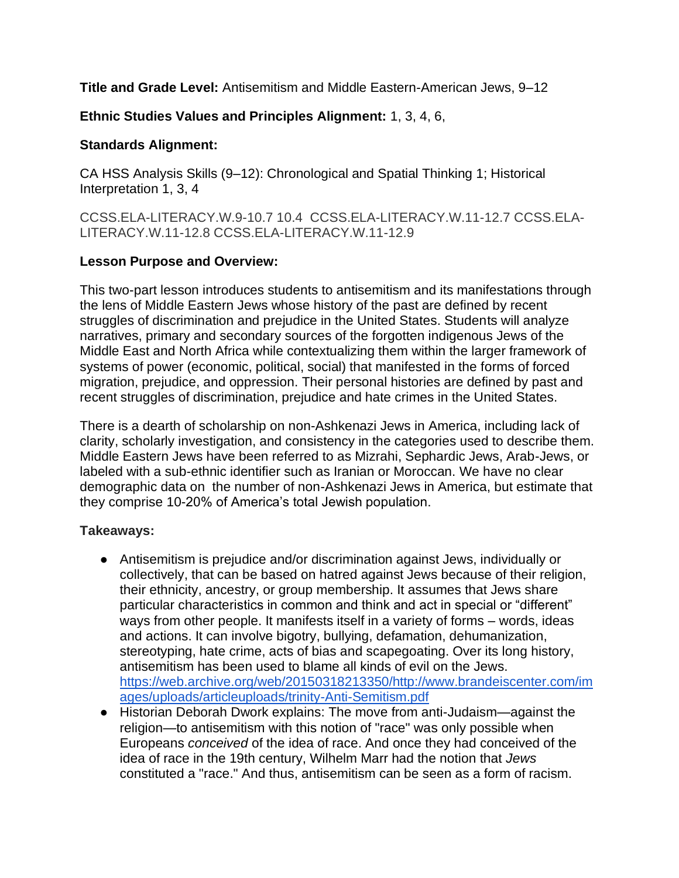**Title and Grade Level:** Antisemitism and Middle Eastern-American Jews, 9–12

## **Ethnic Studies Values and Principles Alignment:** 1, 3, 4, 6,

#### **Standards Alignment:**

CA HSS Analysis Skills (9–12): Chronological and Spatial Thinking 1; Historical Interpretation 1, 3, 4

[CCSS.ELA-LITERACY.W.9-10.7](http://www.corestandards.org/ELA-Literacy/W/9-10/7/) [10.4](http://www.corestandards.org/ELA-Literacy/W/9-10/4/) [CCSS.ELA-LITERACY.W.11-12.7](http://www.corestandards.org/ELA-Literacy/W/11-12/7/) [CCSS.ELA-](http://www.corestandards.org/ELA-Literacy/W/11-12/8/)[LITERACY.W.11-12.8](http://www.corestandards.org/ELA-Literacy/W/11-12/8/) [CCSS.ELA-LITERACY.W.11-12.9](http://www.corestandards.org/ELA-Literacy/W/11-12/9/)

### **Lesson Purpose and Overview:**

This two-part lesson introduces students to antisemitism and its manifestations through the lens of Middle Eastern Jews whose history of the past are defined by recent struggles of discrimination and prejudice in the United States. Students will analyze narratives, primary and secondary sources of the forgotten indigenous Jews of the Middle East and North Africa while contextualizing them within the larger framework of systems of power (economic, political, social) that manifested in the forms of forced migration, prejudice, and oppression. Their personal histories are defined by past and recent struggles of discrimination, prejudice and hate crimes in the United States.

There is a dearth of scholarship on non-Ashkenazi Jews in America, including lack of clarity, scholarly investigation, and consistency in the categories used to describe them. Middle Eastern Jews have been referred to as Mizrahi, Sephardic Jews, Arab-Jews, or labeled with a sub-ethnic identifier such as Iranian or Moroccan. We have no clear demographic data on the number of non-Ashkenazi Jews in America, but estimate that they comprise 10-20% of America's total Jewish population.

## **Takeaways:**

- Antisemitism is prejudice and/or discrimination against Jews, individually or collectively, that can be based on hatred against Jews because of their religion, their ethnicity, ancestry, or group membership. It assumes that Jews share particular characteristics in common and think and act in special or "different" ways from other people. It manifests itself in a variety of forms – words, ideas and actions. It can involve bigotry, bullying, defamation, dehumanization, stereotyping, hate crime, acts of bias and scapegoating. Over its long history, antisemitism has been used to blame all kinds of evil on the Jews. [https://web.archive.org/web/20150318213350/http://www.brandeiscenter.com/im](https://web.archive.org/web/20150318213350/http:/www.brandeiscenter.com/images/uploads/articleuploads/trinity-Anti-Semitism.pdf) [ages/uploads/articleuploads/trinity-Anti-Semitism.pdf](https://web.archive.org/web/20150318213350/http:/www.brandeiscenter.com/images/uploads/articleuploads/trinity-Anti-Semitism.pdf)
- Historian Deborah Dwork explains: The move from anti-Judaism—against the religion—to antisemitism with this notion of "race" was only possible when Europeans *conceived* of the idea of race. And once they had conceived of the idea of race in the 19th century, Wilhelm Marr had the notion that *Jews* constituted a "race." And thus, antisemitism can be seen as a form of racism.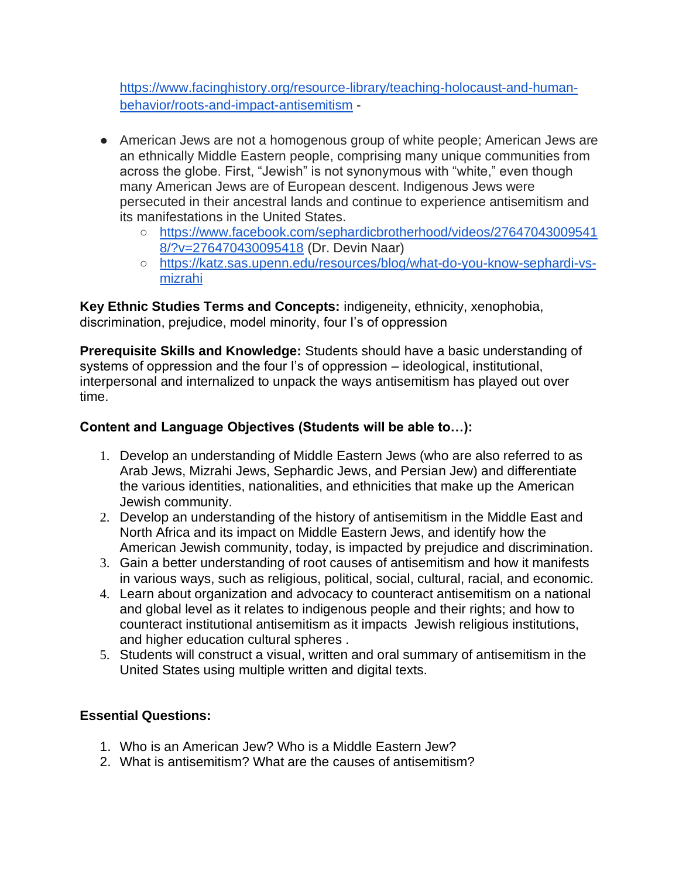[https://www.facinghistory.org/resource-library/teaching-holocaust-and-human](https://www.facinghistory.org/resource-library/teaching-holocaust-and-human-behavior/roots-and-impact-antisemitism)[behavior/roots-and-impact-antisemitism](https://www.facinghistory.org/resource-library/teaching-holocaust-and-human-behavior/roots-and-impact-antisemitism) -

- American Jews are not a homogenous group of white people; American Jews are an ethnically Middle Eastern people, comprising many unique communities from across the globe. First, "Jewish" is not synonymous with "white," even though many American Jews are of European descent. Indigenous Jews were persecuted in their ancestral lands and continue to experience antisemitism and its manifestations in the United States.
	- [https://www.facebook.com/sephardicbrotherhood/videos/27647043009541](https://www.facebook.com/sephardicbrotherhood/videos/276470430095418/?v=276470430095418) [8/?v=276470430095418](https://www.facebook.com/sephardicbrotherhood/videos/276470430095418/?v=276470430095418) (Dr. Devin Naar)
	- [https://katz.sas.upenn.edu/resources/blog/what-do-you-know-sephardi-vs](https://katz.sas.upenn.edu/resources/blog/what-do-you-know-sephardi-vs-mizrahi)[mizrahi](https://katz.sas.upenn.edu/resources/blog/what-do-you-know-sephardi-vs-mizrahi)

**Key Ethnic Studies Terms and Concepts:** indigeneity, ethnicity, xenophobia, discrimination, prejudice, model minority, four I's of oppression

**Prerequisite Skills and Knowledge:** Students should have a basic understanding of systems of oppression and the four I's of oppression – ideological, institutional, interpersonal and internalized to unpack the ways antisemitism has played out over time.

## **Content and Language Objectives (Students will be able to…):**

- 1. Develop an understanding of Middle Eastern Jews (who are also referred to as Arab Jews, Mizrahi Jews, Sephardic Jews, and Persian Jew) and differentiate the various identities, nationalities, and ethnicities that make up the American Jewish community.
- 2. Develop an understanding of the history of antisemitism in the Middle East and North Africa and its impact on Middle Eastern Jews, and identify how the American Jewish community, today, is impacted by prejudice and discrimination.
- 3. Gain a better understanding of root causes of antisemitism and how it manifests in various ways, such as religious, political, social, cultural, racial, and economic.
- 4. Learn about organization and advocacy to counteract antisemitism on a national and global level as it relates to indigenous people and their rights; and how to counteract institutional antisemitism as it impacts Jewish religious institutions, and higher education cultural spheres .
- 5. Students will construct a visual, written and oral summary of antisemitism in the United States using multiple written and digital texts.

## **Essential Questions:**

- 1. Who is an American Jew? Who is a Middle Eastern Jew?
- 2. What is antisemitism? What are the causes of antisemitism?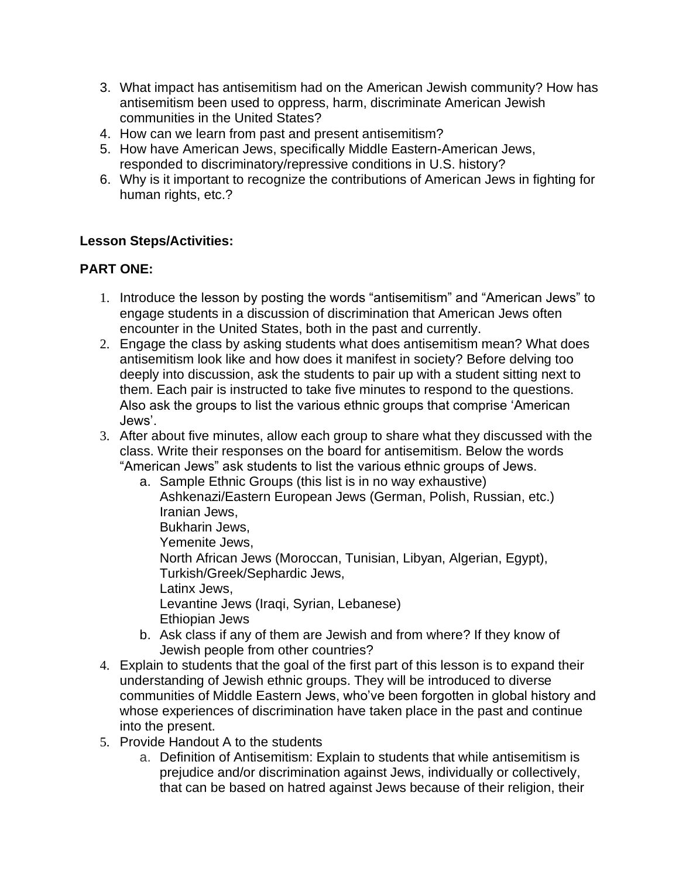- 3. What impact has antisemitism had on the American Jewish community? How has antisemitism been used to oppress, harm, discriminate American Jewish communities in the United States?
- 4. How can we learn from past and present antisemitism?
- 5. How have American Jews, specifically Middle Eastern-American Jews, responded to discriminatory/repressive conditions in U.S. history?
- 6. Why is it important to recognize the contributions of American Jews in fighting for human rights, etc.?

## **Lesson Steps/Activities:**

## **PART ONE:**

- 1. Introduce the lesson by posting the words "antisemitism" and "American Jews" to engage students in a discussion of discrimination that American Jews often encounter in the United States, both in the past and currently.
- 2. Engage the class by asking students what does antisemitism mean? What does antisemitism look like and how does it manifest in society? Before delving too deeply into discussion, ask the students to pair up with a student sitting next to them. Each pair is instructed to take five minutes to respond to the questions. Also ask the groups to list the various ethnic groups that comprise 'American Jews'.
- 3. After about five minutes, allow each group to share what they discussed with the class. Write their responses on the board for antisemitism. Below the words "American Jews" ask students to list the various ethnic groups of Jews.
	- a. Sample Ethnic Groups (this list is in no way exhaustive) Ashkenazi/Eastern European Jews (German, Polish, Russian, etc.) Iranian Jews, Bukharin Jews, Yemenite Jews, North African Jews (Moroccan, Tunisian, Libyan, Algerian, Egypt), Turkish/Greek/Sephardic Jews, Latinx Jews, Levantine Jews (Iraqi, Syrian, Lebanese) Ethiopian Jews
	- b. Ask class if any of them are Jewish and from where? If they know of Jewish people from other countries?
- 4. Explain to students that the goal of the first part of this lesson is to expand their understanding of Jewish ethnic groups. They will be introduced to diverse communities of Middle Eastern Jews, who've been forgotten in global history and whose experiences of discrimination have taken place in the past and continue into the present.
- 5. Provide Handout A to the students
	- a. Definition of Antisemitism: Explain to students that while antisemitism is prejudice and/or discrimination against Jews, individually or collectively, that can be based on hatred against Jews because of their religion, their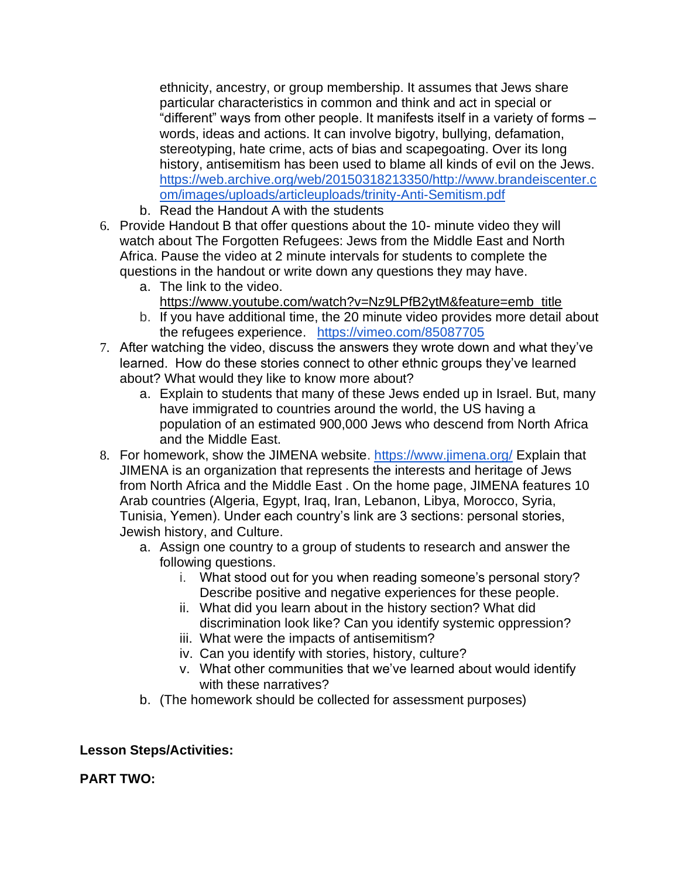ethnicity, ancestry, or group membership. It assumes that Jews share particular characteristics in common and think and act in special or "different" ways from other people. It manifests itself in a variety of forms – words, ideas and actions. It can involve bigotry, bullying, defamation, stereotyping, hate crime, acts of bias and scapegoating. Over its long history, antisemitism has been used to blame all kinds of evil on the Jews. [https://web.archive.org/web/20150318213350/http://www.brandeiscenter.c](https://web.archive.org/web/20150318213350/http:/www.brandeiscenter.com/images/uploads/articleuploads/trinity-Anti-Semitism.pdf) [om/images/uploads/articleuploads/trinity-Anti-Semitism.pdf](https://web.archive.org/web/20150318213350/http:/www.brandeiscenter.com/images/uploads/articleuploads/trinity-Anti-Semitism.pdf)

- b. Read the Handout A with the students
- 6. Provide Handout B that offer questions about the 10- minute video they will watch about The Forgotten Refugees: Jews from the Middle East and North Africa. Pause the video at 2 minute intervals for students to complete the questions in the handout or write down any questions they may have.
	- a. The link to the video. [https://www.youtube.com/watch?v=Nz9LPfB2ytM&feature=emb\\_title](https://www.youtube.com/watch?v=Nz9LPfB2ytM&feature=emb_title)
	- b. If you have additional time, the 20 minute video provides more detail about the refugees experience. <https://vimeo.com/85087705>
- 7. After watching the video, discuss the answers they wrote down and what they've learned. How do these stories connect to other ethnic groups they've learned about? What would they like to know more about?
	- a. Explain to students that many of these Jews ended up in Israel. But, many have immigrated to countries around the world, the US having a population of an estimated 900,000 Jews who descend from North Africa and the Middle East.
- 8. For homework, show the JIMENA website.<https://www.jimena.org/> Explain that JIMENA is an organization that represents the interests and heritage of Jews from North Africa and the Middle East . On the home page, JIMENA features 10 Arab countries (Algeria, [Egypt,](http://jimenaexperience.org/egypt/) [Iraq,](http://jimenaexperience.org/iraq/) [Iran,](http://jimenaexperience.org/iran/) [Lebanon,](http://jimenaexperience.org/lebanon/) [Libya,](http://jimenaexperience.org/libya) [Morocco,](http://jimenaexperience.org/morocco/) [Syria,](http://jimenaexperience.org/Syria/) [Tunisia,](http://jimenaexperience.org/tunisia) [Yemen\). Under each country's link are 3 sections: personal stories,](http://jimenaexperience.org/yemen/)  [Jewish history, and Culture.](http://jimenaexperience.org/yemen/) 
	- a. Assign one country to a group of students to research and answer the following questions.
		- i. What stood out for you when reading someone's personal story? Describe positive and negative experiences for these people.
		- ii. What did you learn about in the history section? What did discrimination look like? Can you identify systemic oppression?
		- iii. What were the impacts of antisemitism?
		- iv. Can you identify with stories, history, culture?
		- v. What other communities that we've learned about would identify with these narratives?
	- b. (The homework should be collected for assessment purposes)

## **Lesson Steps/Activities:**

**PART TWO:**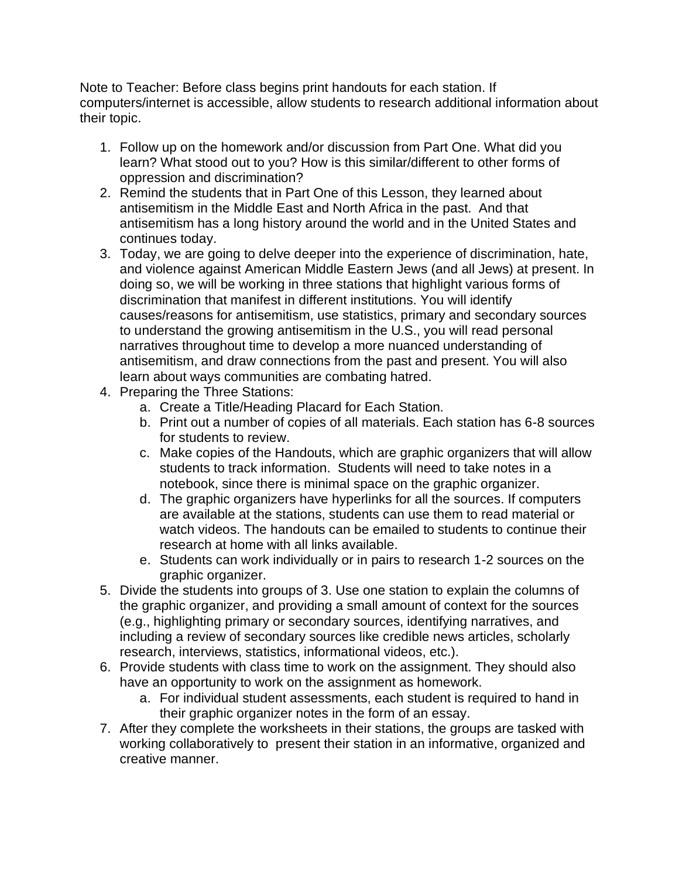Note to Teacher: Before class begins print handouts for each station. If computers/internet is accessible, allow students to research additional information about their topic.

- 1. Follow up on the homework and/or discussion from Part One. What did you learn? What stood out to you? How is this similar/different to other forms of oppression and discrimination?
- 2. Remind the students that in Part One of this Lesson, they learned about antisemitism in the Middle East and North Africa in the past. And that antisemitism has a long history around the world and in the United States and continues today.
- 3. Today, we are going to delve deeper into the experience of discrimination, hate, and violence against American Middle Eastern Jews (and all Jews) at present. In doing so, we will be working in three stations that highlight various forms of discrimination that manifest in different institutions. You will identify causes/reasons for antisemitism, use statistics, primary and secondary sources to understand the growing antisemitism in the U.S., you will read personal narratives throughout time to develop a more nuanced understanding of antisemitism, and draw connections from the past and present. You will also learn about ways communities are combating hatred.
- 4. Preparing the Three Stations:
	- a. Create a Title/Heading Placard for Each Station.
	- b. Print out a number of copies of all materials. Each station has 6-8 sources for students to review.
	- c. Make copies of the Handouts, which are graphic organizers that will allow students to track information. Students will need to take notes in a notebook, since there is minimal space on the graphic organizer.
	- d. The graphic organizers have hyperlinks for all the sources. If computers are available at the stations, students can use them to read material or watch videos. The handouts can be emailed to students to continue their research at home with all links available.
	- e. Students can work individually or in pairs to research 1-2 sources on the graphic organizer.
- 5. Divide the students into groups of 3. Use one station to explain the columns of the graphic organizer, and providing a small amount of context for the sources (e.g., highlighting primary or secondary sources, identifying narratives, and including a review of secondary sources like credible news articles, scholarly research, interviews, statistics, informational videos, etc.).
- 6. Provide students with class time to work on the assignment. They should also have an opportunity to work on the assignment as homework.
	- a. For individual student assessments, each student is required to hand in their graphic organizer notes in the form of an essay.
- 7. After they complete the worksheets in their stations, the groups are tasked with working collaboratively to present their station in an informative, organized and creative manner.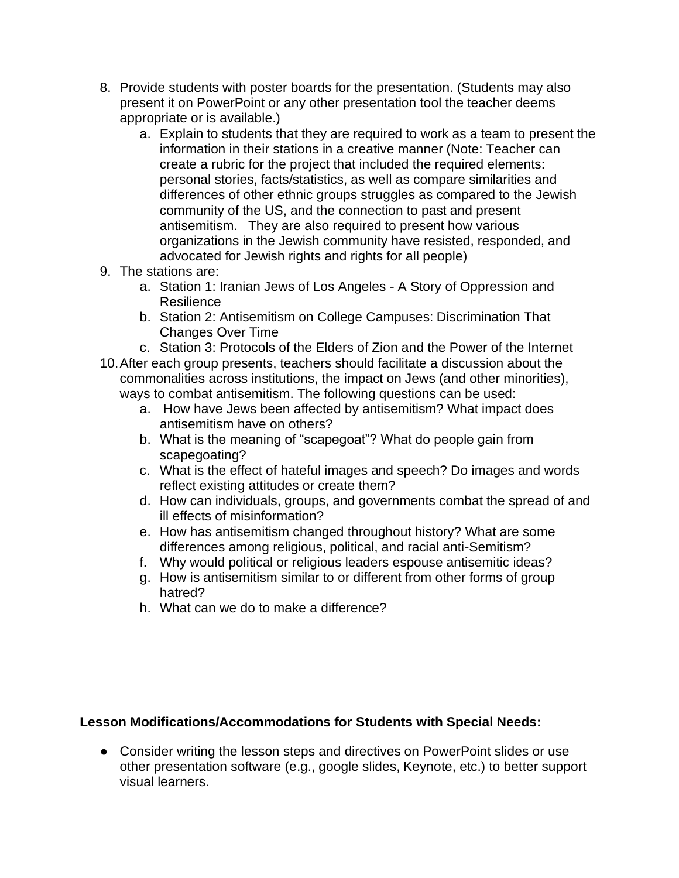- 8. Provide students with poster boards for the presentation. (Students may also present it on PowerPoint or any other presentation tool the teacher deems appropriate or is available.)
	- a. Explain to students that they are required to work as a team to present the information in their stations in a creative manner (Note: Teacher can create a rubric for the project that included the required elements: personal stories, facts/statistics, as well as compare similarities and differences of other ethnic groups struggles as compared to the Jewish community of the US, and the connection to past and present antisemitism. They are also required to present how various organizations in the Jewish community have resisted, responded, and advocated for Jewish rights and rights for all people)
- 9. The stations are:
	- a. Station 1: Iranian Jews of Los Angeles A Story of Oppression and Resilience
	- b. Station 2: Antisemitism on College Campuses: Discrimination That Changes Over Time
	- c. Station 3: Protocols of the Elders of Zion and the Power of the Internet
- 10.After each group presents, teachers should facilitate a discussion about the commonalities across institutions, the impact on Jews (and other minorities), ways to combat antisemitism. The following questions can be used:
	- a. How have Jews been affected by antisemitism? What impact does antisemitism have on others?
	- b. What is the meaning of "scapegoat"? What do people gain from scapegoating?
	- c. What is the effect of hateful images and speech? Do images and words reflect existing attitudes or create them?
	- d. How can individuals, groups, and governments combat the spread of and ill effects of misinformation?
	- e. How has antisemitism changed throughout history? What are some differences among religious, political, and racial anti-Semitism?
	- f. Why would political or religious leaders espouse antisemitic ideas?
	- g. How is antisemitism similar to or different from other forms of group hatred?
	- h. What can we do to make a difference?

#### **Lesson Modifications/Accommodations for Students with Special Needs:**

● Consider writing the lesson steps and directives on PowerPoint slides or use other presentation software (e.g., google slides, Keynote, etc.) to better support visual learners.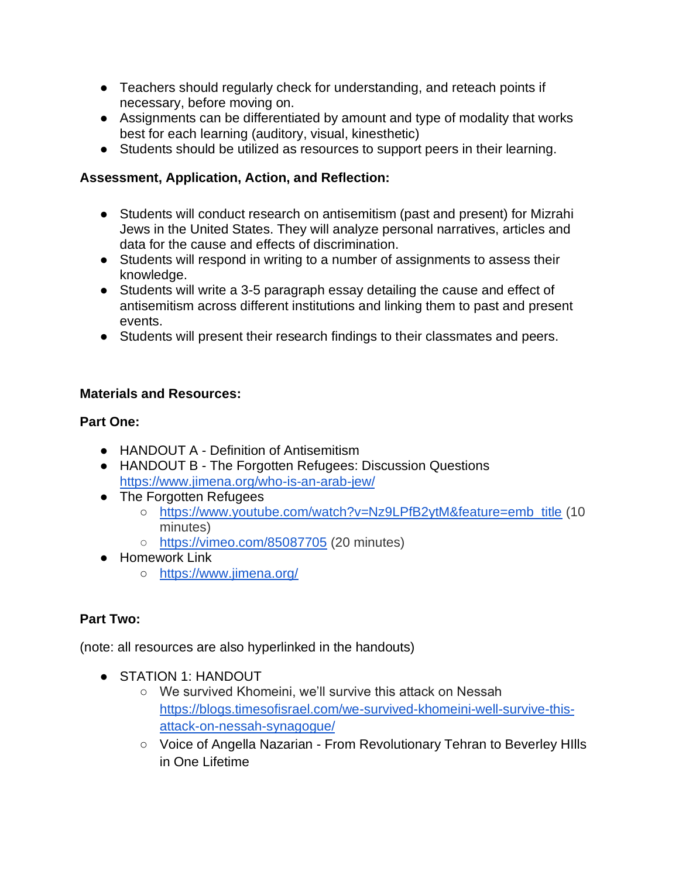- Teachers should regularly check for understanding, and reteach points if necessary, before moving on.
- Assignments can be differentiated by amount and type of modality that works best for each learning (auditory, visual, kinesthetic)
- Students should be utilized as resources to support peers in their learning.

# **Assessment, Application, Action, and Reflection:**

- Students will conduct research on antisemitism (past and present) for Mizrahi Jews in the United States. They will analyze personal narratives, articles and data for the cause and effects of discrimination.
- Students will respond in writing to a number of assignments to assess their knowledge.
- Students will write a 3-5 paragraph essay detailing the cause and effect of antisemitism across different institutions and linking them to past and present events.
- Students will present their research findings to their classmates and peers.

## **Materials and Resources:**

## **Part One:**

- HANDOUT A Definition of Antisemitism
- HANDOUT B The Forgotten Refugees: Discussion Questions <https://www.jimena.org/who-is-an-arab-jew/>
- The Forgotten Refugees
	- [https://www.youtube.com/watch?v=Nz9LPfB2ytM&feature=emb\\_title](https://www.youtube.com/watch?v=Nz9LPfB2ytM&feature=emb_title) (10 minutes)
	- <https://vimeo.com/85087705> (20 minutes)
- Homework Link
	- <https://www.jimena.org/>

# **Part Two:**

(note: all resources are also hyperlinked in the handouts)

- STATION 1: HANDOUT
	- We survived Khomeini, we'll survive this attack on Nessah [https://blogs.timesofisrael.com/we-survived-khomeini-well-survive-this](https://blogs.timesofisrael.com/we-survived-khomeini-well-survive-this-attack-on-nessah-synagogue/)[attack-on-nessah-synagogue/](https://blogs.timesofisrael.com/we-survived-khomeini-well-survive-this-attack-on-nessah-synagogue/)
	- Voice of Angella Nazarian From Revolutionary Tehran to Beverley HIlls in One Lifetime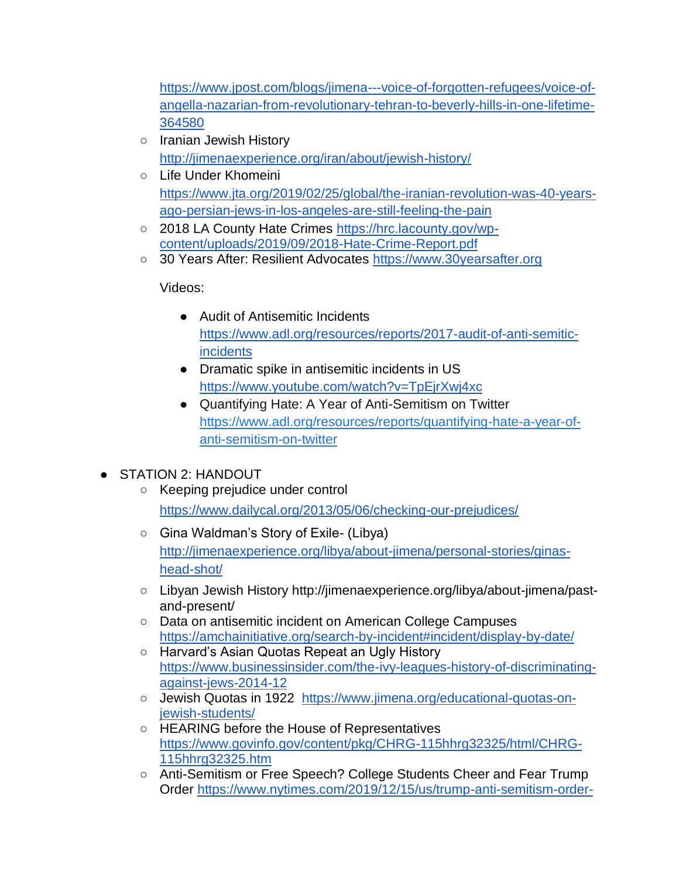[https://www.jpost.com/blogs/jimena---voice-of-forgotten-refugees/voice-of](https://www.jpost.com/blogs/jimena---voice-of-forgotten-refugees/voice-of-angella-nazarian-from-revolutionary-tehran-to-beverly-hills-in-one-lifetime-364580)[angella-nazarian-from-revolutionary-tehran-to-beverly-hills-in-one-lifetime-](https://www.jpost.com/blogs/jimena---voice-of-forgotten-refugees/voice-of-angella-nazarian-from-revolutionary-tehran-to-beverly-hills-in-one-lifetime-364580)[364580](https://www.jpost.com/blogs/jimena---voice-of-forgotten-refugees/voice-of-angella-nazarian-from-revolutionary-tehran-to-beverly-hills-in-one-lifetime-364580)

- Iranian Jewish History <http://jimenaexperience.org/iran/about/jewish-history/>
- Life Under Khomeini [https://www.jta.org/2019/02/25/global/the-iranian-revolution-was-40-years](https://www.jta.org/2019/02/25/global/the-iranian-revolution-was-40-years-ago-persian-jews-in-los-angeles-are-still-feeling-the-pain)[ago-persian-jews-in-los-angeles-are-still-feeling-the-pain](https://www.jta.org/2019/02/25/global/the-iranian-revolution-was-40-years-ago-persian-jews-in-los-angeles-are-still-feeling-the-pain)
- 2018 LA County Hate Crimes [https://hrc.lacounty.gov/wp](https://hrc.lacounty.gov/wp-content/uploads/2019/09/2018-Hate-Crime-Report.pdf)[content/uploads/2019/09/2018-Hate-Crime-Report.pdf](https://hrc.lacounty.gov/wp-content/uploads/2019/09/2018-Hate-Crime-Report.pdf)
- 30 Years After: Resilient Advocates [https://www.30yearsafter.org](https://www.30yearsafter.org/)

Videos:

- Audit of Antisemitic Incidents [https://www.adl.org/resources/reports/2017-audit-of-anti-semitic](https://www.adl.org/resources/reports/2017-audit-of-anti-semitic-incidents)[incidents](https://www.adl.org/resources/reports/2017-audit-of-anti-semitic-incidents)
- Dramatic spike in antisemitic incidents in US <https://www.youtube.com/watch?v=TpEjrXwj4xc>
- Quantifying Hate: A Year of Anti-Semitism on Twitter [https://www.adl.org/resources/reports/quantifying-hate-a-year-of](https://www.adl.org/resources/reports/quantifying-hate-a-year-of-anti-semitism-on-twitter)[anti-semitism-on-twitter](https://www.adl.org/resources/reports/quantifying-hate-a-year-of-anti-semitism-on-twitter)
- STATION 2: HANDOUT
	- Keeping prejudice under control <https://www.dailycal.org/2013/05/06/checking-our-prejudices/>
	- Gina Waldman's Story of Exile- (Libya) [http://jimenaexperience.org/libya/about-jimena/personal-stories/ginas](http://jimenaexperience.org/libya/about-jimena/personal-stories/ginas-head-shot/)[head-shot/](http://jimenaexperience.org/libya/about-jimena/personal-stories/ginas-head-shot/)
	- Libyan Jewish History http://jimenaexperience.org/libya/about-jimena/pastand-present/
	- Data on antisemitic incident on American College Campuses <https://amchainitiative.org/search-by-incident#incident/display-by-date/>
	- Harvard's Asian Quotas Repeat an Ugly History [https://www.businessinsider.com/the-ivy-leagues-history-of-discriminating](https://www.businessinsider.com/the-ivy-leagues-history-of-discriminating-against-jews-2014-12)[against-jews-2014-12](https://www.businessinsider.com/the-ivy-leagues-history-of-discriminating-against-jews-2014-12)
	- Jewish Quotas in 1922 [https://www.jimena.org/educational-quotas-on](https://www.jimena.org/educational-quotas-on-jewish-students/)[jewish-students/](https://www.jimena.org/educational-quotas-on-jewish-students/)
	- HEARING before the House of Representatives [https://www.govinfo.gov/content/pkg/CHRG-115hhrg32325/html/CHRG-](https://www.govinfo.gov/content/pkg/CHRG-115hhrg32325/html/CHRG-115hhrg32325.htm)[115hhrg32325.htm](https://www.govinfo.gov/content/pkg/CHRG-115hhrg32325/html/CHRG-115hhrg32325.htm)
	- Anti-Semitism or Free Speech? College Students Cheer and Fear Trump Order [https://www.nytimes.com/2019/12/15/us/trump-anti-semitism-order-](https://www.nytimes.com/2019/12/15/us/trump-anti-semitism-order-college-students.html)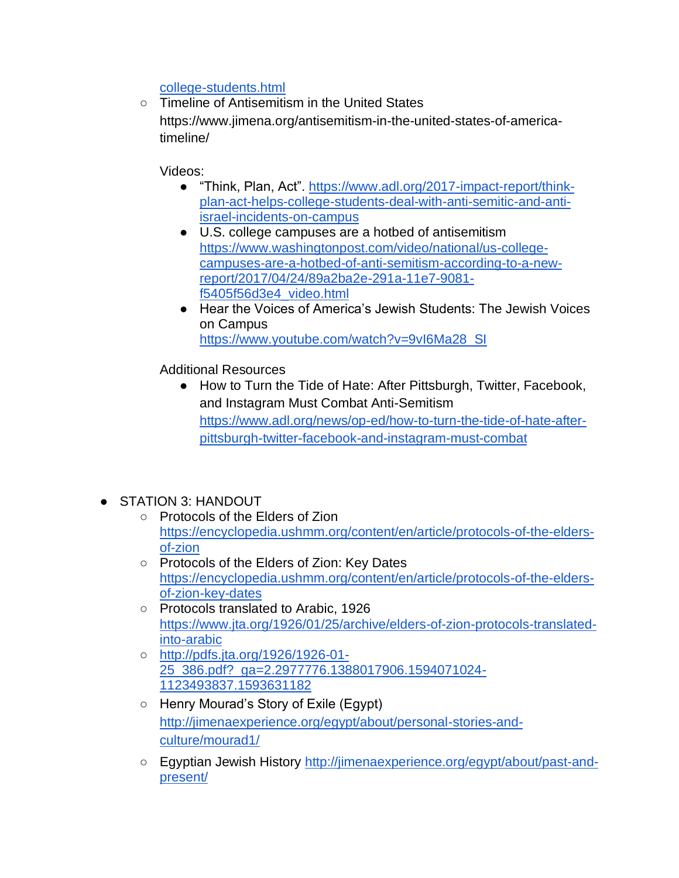[college-students.html](https://www.nytimes.com/2019/12/15/us/trump-anti-semitism-order-college-students.html)

○ Timeline of Antisemitism in the United States https://www.jimena.org/antisemitism-in-the-united-states-of-americatimeline/

Videos:

- "Think, Plan, Act". [https://www.adl.org/2017-impact-report/think](https://www.adl.org/2017-impact-report/think-plan-act-helps-college-students-deal-with-anti-semitic-and-anti-israel-incidents-on-campus)[plan-act-helps-college-students-deal-with-anti-semitic-and-anti](https://www.adl.org/2017-impact-report/think-plan-act-helps-college-students-deal-with-anti-semitic-and-anti-israel-incidents-on-campus)[israel-incidents-on-campus](https://www.adl.org/2017-impact-report/think-plan-act-helps-college-students-deal-with-anti-semitic-and-anti-israel-incidents-on-campus)
- U.S. college campuses are a hotbed of antisemitism [https://www.washingtonpost.com/video/national/us-college](https://www.washingtonpost.com/video/national/us-college-campuses-are-a-hotbed-of-anti-semitism-according-to-a-new-report/2017/04/24/89a2ba2e-291a-11e7-9081-f5405f56d3e4_video.html)[campuses-are-a-hotbed-of-anti-semitism-according-to-a-new](https://www.washingtonpost.com/video/national/us-college-campuses-are-a-hotbed-of-anti-semitism-according-to-a-new-report/2017/04/24/89a2ba2e-291a-11e7-9081-f5405f56d3e4_video.html)[report/2017/04/24/89a2ba2e-291a-11e7-9081](https://www.washingtonpost.com/video/national/us-college-campuses-are-a-hotbed-of-anti-semitism-according-to-a-new-report/2017/04/24/89a2ba2e-291a-11e7-9081-f5405f56d3e4_video.html) [f5405f56d3e4\\_video.html](https://www.washingtonpost.com/video/national/us-college-campuses-are-a-hotbed-of-anti-semitism-according-to-a-new-report/2017/04/24/89a2ba2e-291a-11e7-9081-f5405f56d3e4_video.html)
- Hear the Voices of America's Jewish Students: The Jewish Voices on Campus [https://www.youtube.com/watch?v=9vI6Ma28\\_SI](https://www.youtube.com/watch?v=9vI6Ma28_SI)

Additional Resources

- How to Turn the Tide of Hate: After Pittsburgh, Twitter, Facebook, and Instagram Must Combat Anti-Semitism [https://www.adl.org/news/op-ed/how-to-turn-the-tide-of-hate-after](https://www.adl.org/news/op-ed/how-to-turn-the-tide-of-hate-after-pittsburgh-twitter-facebook-and-instagram-must-combat)[pittsburgh-twitter-facebook-and-instagram-must-combat](https://www.adl.org/news/op-ed/how-to-turn-the-tide-of-hate-after-pittsburgh-twitter-facebook-and-instagram-must-combat)
- STATION 3: HANDOUT
	- Protocols of the Elders of Zion [https://encyclopedia.ushmm.org/content/en/article/protocols-of-the-elders](https://encyclopedia.ushmm.org/content/en/article/protocols-of-the-elders-of-zion)[of-zion](https://encyclopedia.ushmm.org/content/en/article/protocols-of-the-elders-of-zion)
	- Protocols of the Elders of Zion: Key Dates [https://encyclopedia.ushmm.org/content/en/article/protocols-of-the-elders](https://encyclopedia.ushmm.org/content/en/article/protocols-of-the-elders-of-zion-key-dates)[of-zion-key-dates](https://encyclopedia.ushmm.org/content/en/article/protocols-of-the-elders-of-zion-key-dates)
	- Protocols translated to Arabic, 1926 [https://www.jta.org/1926/01/25/archive/elders-of-zion-protocols-translated](https://www.jta.org/1926/01/25/archive/elders-of-zion-protocols-translated-into-arabic)[into-arabic](https://www.jta.org/1926/01/25/archive/elders-of-zion-protocols-translated-into-arabic)
	- [http://pdfs.jta.org/1926/1926-01-](http://pdfs.jta.org/1926/1926-01-25_386.pdf?_ga=2.2977776.1388017906.1594071024-1123493837.1593631182) [25\\_386.pdf?\\_ga=2.2977776.1388017906.1594071024-](http://pdfs.jta.org/1926/1926-01-25_386.pdf?_ga=2.2977776.1388017906.1594071024-1123493837.1593631182) [1123493837.1593631182](http://pdfs.jta.org/1926/1926-01-25_386.pdf?_ga=2.2977776.1388017906.1594071024-1123493837.1593631182)
	- Henry Mourad's Story of Exile (Egypt) [http://jimenaexperience.org/egypt/about/personal-stories-and](http://jimenaexperience.org/egypt/about/personal-stories-and-culture/mourad1/)[culture/mourad1/](http://jimenaexperience.org/egypt/about/personal-stories-and-culture/mourad1/)
	- o Egyptian Jewish History [http://jimenaexperience.org/egypt/about/past-and](http://jimenaexperience.org/egypt/about/past-and-present/)[present/](http://jimenaexperience.org/egypt/about/past-and-present/)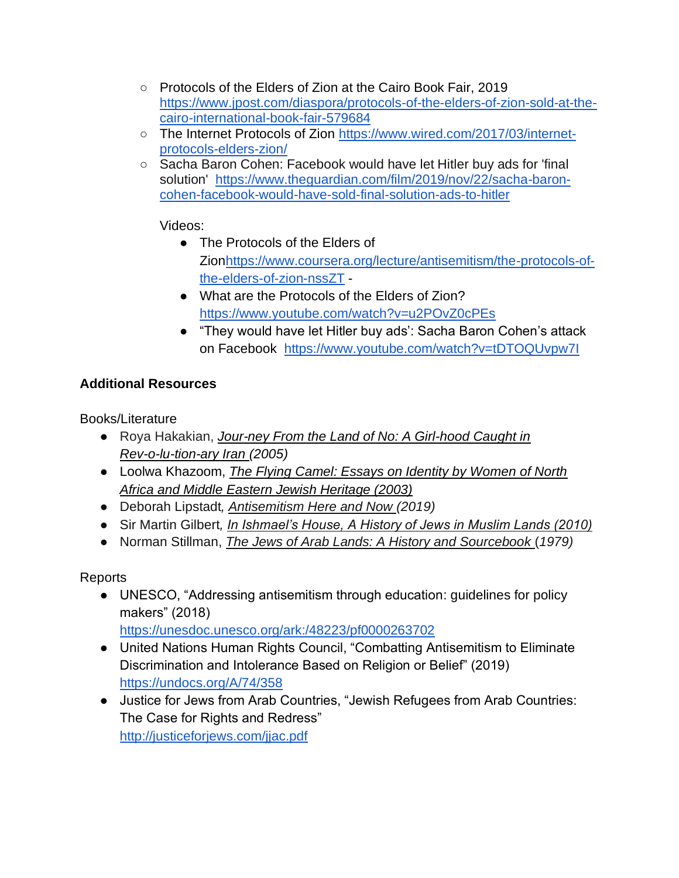- Protocols of the Elders of Zion at the Cairo Book Fair, 2019 [https://www.jpost.com/diaspora/protocols-of-the-elders-of-zion-sold-at-the](https://www.jpost.com/diaspora/protocols-of-the-elders-of-zion-sold-at-the-cairo-international-book-fair-579684)[cairo-international-book-fair-579684](https://www.jpost.com/diaspora/protocols-of-the-elders-of-zion-sold-at-the-cairo-international-book-fair-579684)
- The Internet Protocols of Zion [https://www.wired.com/2017/03/internet](https://www.wired.com/2017/03/internet-protocols-elders-zion/)[protocols-elders-zion/](https://www.wired.com/2017/03/internet-protocols-elders-zion/)
- Sacha Baron Cohen: Facebook would have let Hitler buy ads for 'final solution' [https://www.theguardian.com/film/2019/nov/22/sacha-baron](https://www.theguardian.com/film/2019/nov/22/sacha-baron-cohen-facebook-would-have-sold-final-solution-ads-to-hitler)[cohen-facebook-would-have-sold-final-solution-ads-to-hitler](https://www.theguardian.com/film/2019/nov/22/sacha-baron-cohen-facebook-would-have-sold-final-solution-ads-to-hitler)

- The Protocols of the Elders of Zio[nhttps://www.coursera.org/lecture/antisemitism/the-protocols-of](https://www.coursera.org/lecture/antisemitism/the-protocols-of-the-elders-of-zion-nssZT)[the-elders-of-zion-nssZT](https://www.coursera.org/lecture/antisemitism/the-protocols-of-the-elders-of-zion-nssZT) -
- What are the Protocols of the Elders of Zion? <https://www.youtube.com/watch?v=u2POvZ0cPEs>
- "They would have let Hitler buy ads': Sacha Baron Cohen's attack on Facebook <https://www.youtube.com/watch?v=tDTOQUvpw7I>

# **Additional Resources**

Books/Literature

- Roya Hakakian, *Jour-ney From the Land of No: A Girl-hood Caught in Rev-o-lu-tion-ary Iran (2005)*
- Loolwa Khazoom, *The Flying Camel: Essays on Identity by Women of North Africa and Middle Eastern Jewish Heritage (2003)*
- Deborah Lipstadt*, Antisemitism Here and Now (2019)*
- Sir Martin Gilbert*, In Ishmael's House, A History of Jews in Muslim Lands (2010)*
- Norman Stillman, *The Jews of Arab Lands: A History and Sourcebook* (*1979)*

Reports

- UNESCO, "Addressing antisemitism through education: guidelines for policy makers" (2018)
- <https://unesdoc.unesco.org/ark:/48223/pf0000263702> ● United Nations Human Rights Council, "Combatting Antisemitism to Eliminate Discrimination and Intolerance Based on Religion or Belief" (2019)
	- <https://undocs.org/A/74/358>
- Justice for Jews from Arab Countries, "Jewish Refugees from Arab Countries: The Case for Rights and Redress" <http://justiceforjews.com/jjac.pdf>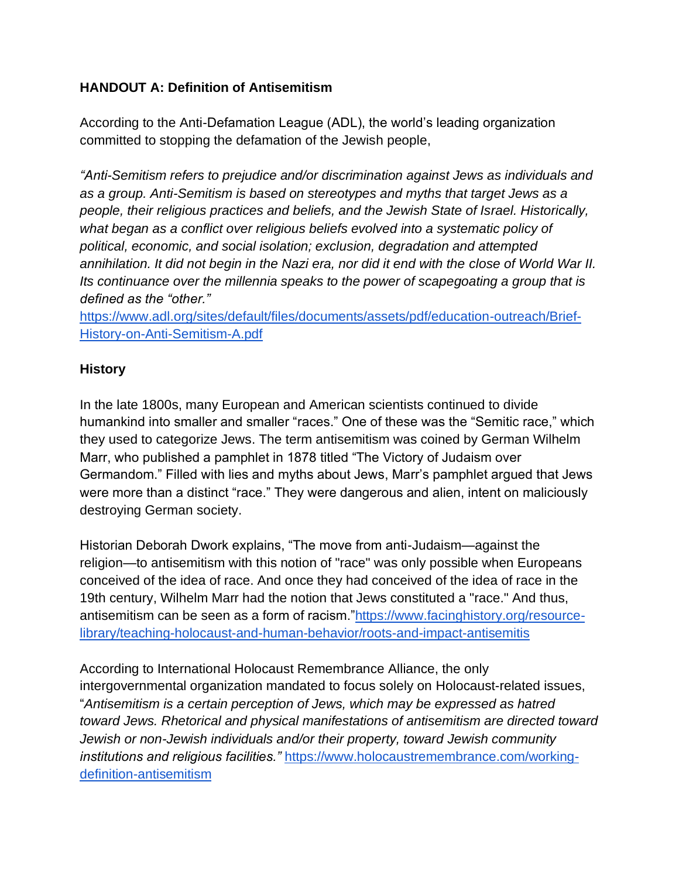## **HANDOUT A: Definition of Antisemitism**

According to the Anti-Defamation League (ADL), the world's leading organization committed to stopping the defamation of the Jewish people,

*"Anti-Semitism refers to prejudice and/or discrimination against Jews as individuals and as a group. Anti-Semitism is based on stereotypes and myths that target Jews as a people, their religious practices and beliefs, and the Jewish State of Israel. Historically, what began as a conflict over religious beliefs evolved into a systematic policy of political, economic, and social isolation; exclusion, degradation and attempted annihilation. It did not begin in the Nazi era, nor did it end with the close of World War II. Its continuance over the millennia speaks to the power of scapegoating a group that is defined as the "other."* 

[https://www.adl.org/sites/default/files/documents/assets/pdf/education-outreach/Brief-](https://www.adl.org/sites/default/files/documents/assets/pdf/education-outreach/Brief-History-on-Anti-Semitism-A.pdf)[History-on-Anti-Semitism-A.pdf](https://www.adl.org/sites/default/files/documents/assets/pdf/education-outreach/Brief-History-on-Anti-Semitism-A.pdf)

## **History**

In the late 1800s, many European and American scientists continued to divide humankind into smaller and smaller "races." One of these was the "Semitic race," which they used to categorize Jews. The term antisemitism was coined by German Wilhelm Marr, who published a pamphlet in 1878 titled "The Victory of Judaism over Germandom." Filled with lies and myths about Jews, Marr's pamphlet argued that Jews were more than a distinct "race." They were dangerous and alien, intent on maliciously destroying German society.

Historian Deborah Dwork explains, "The move from anti-Judaism—against the religion—to antisemitism with this notion of "race" was only possible when Europeans conceived of the idea of race. And once they had conceived of the idea of race in the 19th century, Wilhelm Marr had the notion that Jews constituted a "race." And thus, antisemitism can be seen as a form of racism.["https://www.facinghistory.org/resource](https://www.facinghistory.org/resource-library/teaching-holocaust-and-human-behavior/roots-and-impact-antisemitism)[library/teaching-holocaust-and-human-behavior/roots-and-impact-antisemitis](https://www.facinghistory.org/resource-library/teaching-holocaust-and-human-behavior/roots-and-impact-antisemitism)

According to International Holocaust Remembrance Alliance, the only intergovernmental organization mandated to focus solely on Holocaust-related issues, "*Antisemitism is a certain perception of Jews, which may be expressed as hatred toward Jews. Rhetorical and physical manifestations of antisemitism are directed toward Jewish or non-Jewish individuals and/or their property, toward Jewish community institutions and religious facilities."* [https://www.holocaustremembrance.com/working](https://www.holocaustremembrance.com/working-definition-antisemitism)[definition-antisemitism](https://www.holocaustremembrance.com/working-definition-antisemitism)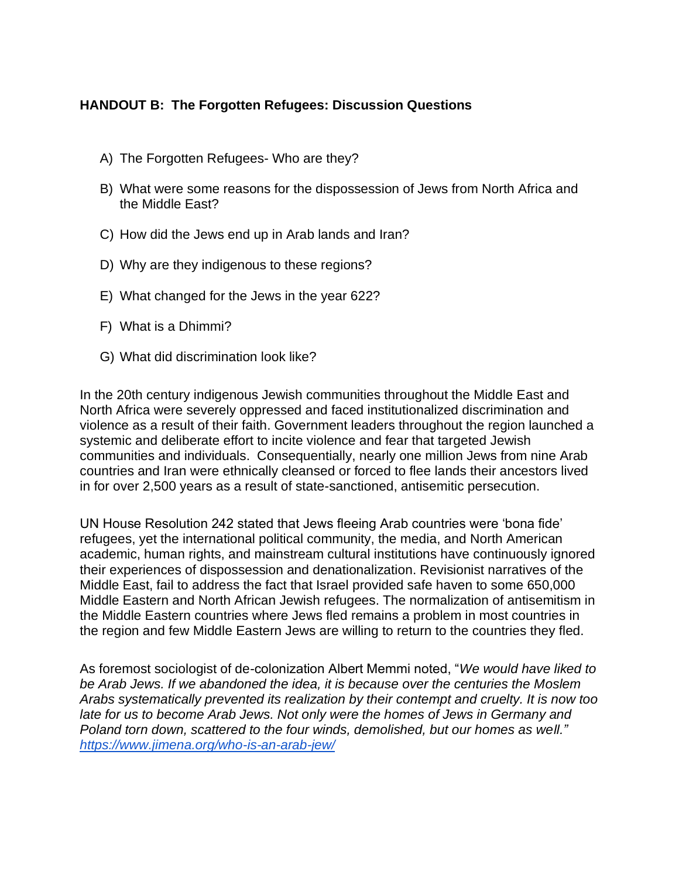## **HANDOUT B: The Forgotten Refugees: Discussion Questions**

- A) The Forgotten Refugees- Who are they?
- B) What were some reasons for the dispossession of Jews from North Africa and the Middle East?
- C) How did the Jews end up in Arab lands and Iran?
- D) Why are they indigenous to these regions?
- E) What changed for the Jews in the year 622?
- F) What is a Dhimmi?
- G) What did discrimination look like?

In the 20th century indigenous Jewish communities throughout the Middle East and North Africa were severely oppressed and faced institutionalized discrimination and violence as a result of their faith. Government leaders throughout the region launched a systemic and deliberate effort to incite violence and fear that targeted Jewish communities and individuals. Consequentially, nearly one million Jews from nine Arab countries and Iran were ethnically cleansed or forced to flee lands their ancestors lived in for over 2,500 years as a result of state-sanctioned, antisemitic persecution.

UN House Resolution 242 stated that Jews fleeing Arab countries were 'bona fide' refugees, yet the international political community, the media, and North American academic, human rights, and mainstream cultural institutions have continuously ignored their experiences of dispossession and denationalization. Revisionist narratives of the Middle East, fail to address the fact that Israel provided safe haven to some 650,000 Middle Eastern and North African Jewish refugees. The normalization of antisemitism in the Middle Eastern countries where Jews fled remains a problem in most countries in the region and few Middle Eastern Jews are willing to return to the countries they fled.

As foremost sociologist of de-colonization Albert Memmi noted, "*We would have liked to be Arab Jews. If we abandoned the idea, it is because over the centuries the Moslem Arabs systematically prevented its realization by their contempt and cruelty. It is now too late for us to become Arab Jews. Not only were the homes of Jews in Germany and Poland torn down, scattered to the four winds, demolished, but our homes as well." <https://www.jimena.org/who-is-an-arab-jew/>*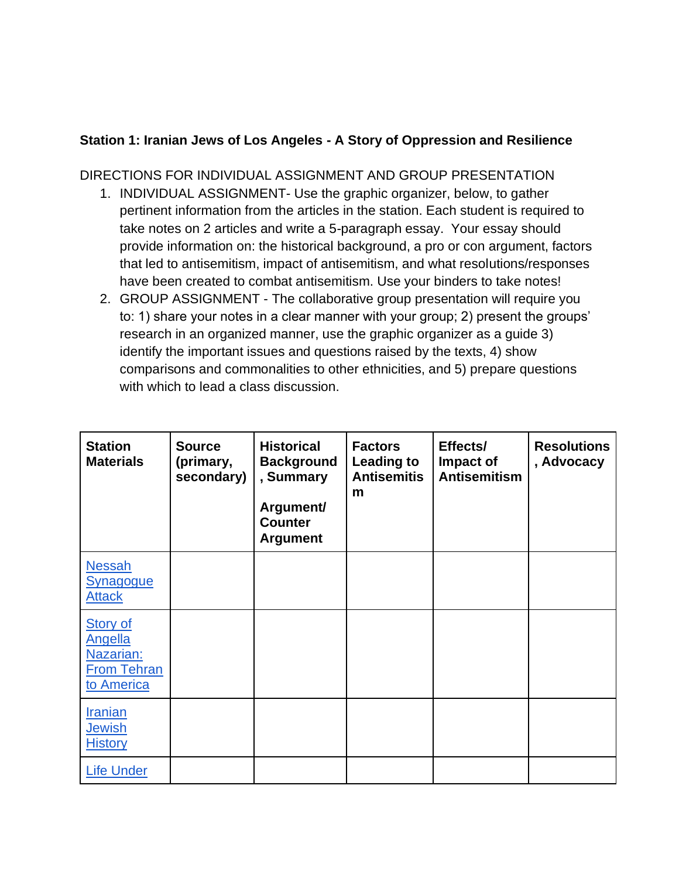## **Station 1: Iranian Jews of Los Angeles - A Story of Oppression and Resilience**

#### DIRECTIONS FOR INDIVIDUAL ASSIGNMENT AND GROUP PRESENTATION

- 1. INDIVIDUAL ASSIGNMENT- Use the graphic organizer, below, to gather pertinent information from the articles in the station. Each student is required to take notes on 2 articles and write a 5-paragraph essay. Your essay should provide information on: the historical background, a pro or con argument, factors that led to antisemitism, impact of antisemitism, and what resolutions/responses have been created to combat antisemitism. Use your binders to take notes!
- 2. GROUP ASSIGNMENT The collaborative group presentation will require you to: 1) share your notes in a clear manner with your group; 2) present the groups' research in an organized manner, use the graphic organizer as a guide 3) identify the important issues and questions raised by the texts, 4) show comparisons and commonalities to other ethnicities, and 5) prepare questions with which to lead a class discussion.

| <b>Station</b><br><b>Materials</b>                                                 | <b>Source</b><br>(primary,<br>secondary) | <b>Historical</b><br><b>Background</b><br>, Summary<br>Argument/<br><b>Counter</b><br><b>Argument</b> | <b>Factors</b><br><b>Leading to</b><br><b>Antisemitis</b><br>m | Effects/<br>Impact of<br><b>Antisemitism</b> | <b>Resolutions</b><br>, Advocacy |
|------------------------------------------------------------------------------------|------------------------------------------|-------------------------------------------------------------------------------------------------------|----------------------------------------------------------------|----------------------------------------------|----------------------------------|
| <b>Nessah</b><br><b>Synagogue</b><br><b>Attack</b>                                 |                                          |                                                                                                       |                                                                |                                              |                                  |
| <b>Story of</b><br><b>Angella</b><br>Nazarian:<br><b>From Tehran</b><br>to America |                                          |                                                                                                       |                                                                |                                              |                                  |
| <b>Iranian</b><br><b>Jewish</b><br><b>History</b>                                  |                                          |                                                                                                       |                                                                |                                              |                                  |
| <b>Life Under</b>                                                                  |                                          |                                                                                                       |                                                                |                                              |                                  |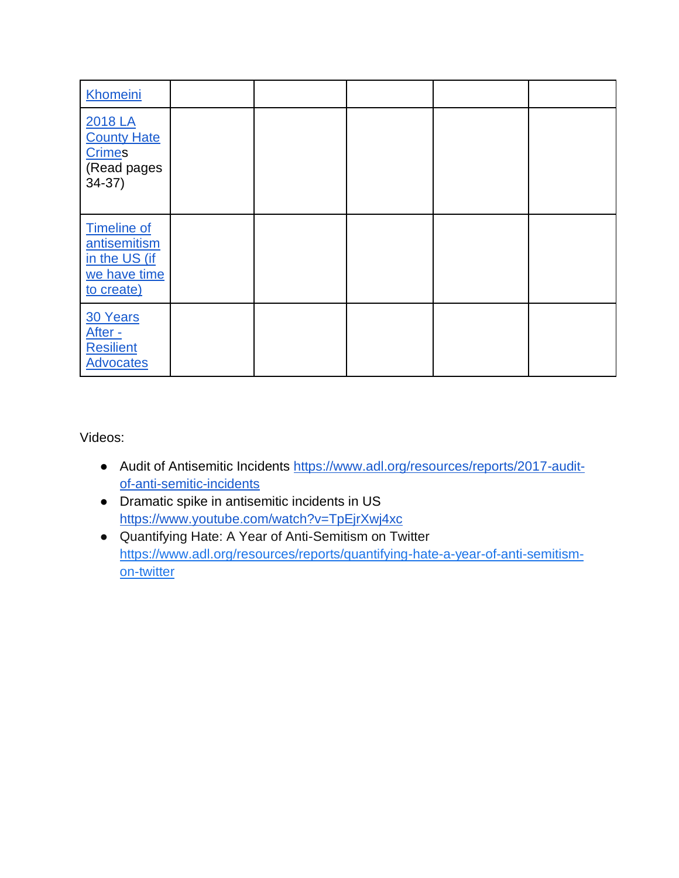| Khomeini                                                                          |  |  |  |
|-----------------------------------------------------------------------------------|--|--|--|
| 2018 LA<br><b>County Hate</b><br>Crimes<br>(Read pages<br>$34-37)$                |  |  |  |
| <b>Timeline of</b><br>antisemitism<br>in the US (if<br>we have time<br>to create) |  |  |  |
| 30 Years<br>After -<br><b>Resilient</b><br><b>Advocates</b>                       |  |  |  |

- Audit of Antisemitic Incidents [https://www.adl.org/resources/reports/2017-audit](https://www.adl.org/resources/reports/2017-audit-of-anti-semitic-incidents)[of-anti-semitic-incidents](https://www.adl.org/resources/reports/2017-audit-of-anti-semitic-incidents)
- Dramatic spike in antisemitic incidents in US <https://www.youtube.com/watch?v=TpEjrXwj4xc>
- Quantifying Hate: A Year of Anti-Semitism on Twitter [https://www.adl.org/resources/reports/quantifying-hate-a-year-of-anti-semitism](https://www.adl.org/resources/reports/quantifying-hate-a-year-of-anti-semitism-on-twitter)[on-twitter](https://www.adl.org/resources/reports/quantifying-hate-a-year-of-anti-semitism-on-twitter)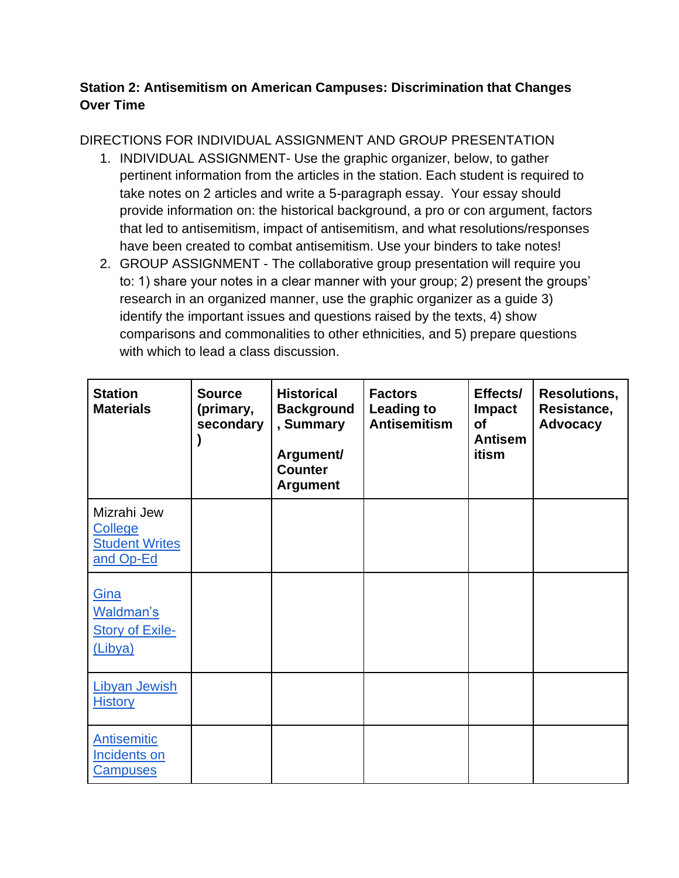## **Station 2: Antisemitism on American Campuses: Discrimination that Changes Over Time**

# DIRECTIONS FOR INDIVIDUAL ASSIGNMENT AND GROUP PRESENTATION

- 1. INDIVIDUAL ASSIGNMENT- Use the graphic organizer, below, to gather pertinent information from the articles in the station. Each student is required to take notes on 2 articles and write a 5-paragraph essay. Your essay should provide information on: the historical background, a pro or con argument, factors that led to antisemitism, impact of antisemitism, and what resolutions/responses have been created to combat antisemitism. Use your binders to take notes!
- 2. GROUP ASSIGNMENT The collaborative group presentation will require you to: 1) share your notes in a clear manner with your group; 2) present the groups' research in an organized manner, use the graphic organizer as a guide 3) identify the important issues and questions raised by the texts, 4) show comparisons and commonalities to other ethnicities, and 5) prepare questions with which to lead a class discussion.

| <b>Station</b><br><b>Materials</b>                                  | <b>Source</b><br>(primary,<br>secondary | <b>Historical</b><br><b>Background</b><br>, Summary<br>Argument/<br><b>Counter</b><br><b>Argument</b> | <b>Factors</b><br><b>Leading to</b><br><b>Antisemitism</b> | Effects/<br><b>Impact</b><br><b>of</b><br><b>Antisem</b><br>itism | <b>Resolutions,</b><br>Resistance,<br><b>Advocacy</b> |
|---------------------------------------------------------------------|-----------------------------------------|-------------------------------------------------------------------------------------------------------|------------------------------------------------------------|-------------------------------------------------------------------|-------------------------------------------------------|
| Mizrahi Jew<br><b>College</b><br><b>Student Writes</b><br>and Op-Ed |                                         |                                                                                                       |                                                            |                                                                   |                                                       |
| Gina<br>Waldman's<br><b>Story of Exile-</b><br>(Libya)              |                                         |                                                                                                       |                                                            |                                                                   |                                                       |
| <b>Libyan Jewish</b><br><b>History</b>                              |                                         |                                                                                                       |                                                            |                                                                   |                                                       |
| <b>Antisemitic</b><br>Incidents on<br><b>Campuses</b>               |                                         |                                                                                                       |                                                            |                                                                   |                                                       |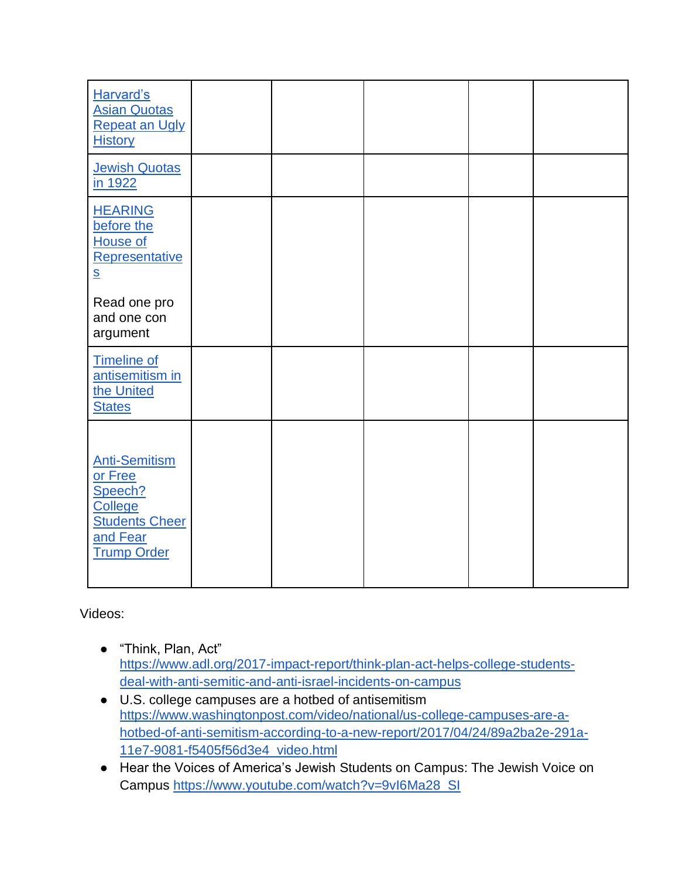| Harvard's<br><b>Asian Quotas</b><br><b>Repeat an Ugly</b><br><b>History</b>                                      |  |  |  |
|------------------------------------------------------------------------------------------------------------------|--|--|--|
| <b>Jewish Quotas</b><br>in 1922                                                                                  |  |  |  |
| <b>HEARING</b><br>before the<br>House of<br>Representative<br>$\underline{\mathbf{S}}$                           |  |  |  |
| Read one pro<br>and one con<br>argument                                                                          |  |  |  |
| <b>Timeline of</b><br>antisemitism in<br>the United<br><b>States</b>                                             |  |  |  |
| <b>Anti-Semitism</b><br>or Free<br>Speech?<br>College<br><b>Students Cheer</b><br>and Fear<br><b>Trump Order</b> |  |  |  |

- "Think, Plan, Act" [https://www.adl.org/2017-impact-report/think-plan-act-helps-college-students](https://www.adl.org/2017-impact-report/think-plan-act-helps-college-students-deal-with-anti-semitic-and-anti-israel-incidents-on-campus)[deal-with-anti-semitic-and-anti-israel-incidents-on-campus](https://www.adl.org/2017-impact-report/think-plan-act-helps-college-students-deal-with-anti-semitic-and-anti-israel-incidents-on-campus)
- U.S. college campuses are a hotbed of antisemitism [https://www.washingtonpost.com/video/national/us-college-campuses-are-a](https://www.washingtonpost.com/video/national/us-college-campuses-are-a-hotbed-of-anti-semitism-according-to-a-new-report/2017/04/24/89a2ba2e-291a-11e7-9081-f5405f56d3e4_video.html)[hotbed-of-anti-semitism-according-to-a-new-report/2017/04/24/89a2ba2e-291a-](https://www.washingtonpost.com/video/national/us-college-campuses-are-a-hotbed-of-anti-semitism-according-to-a-new-report/2017/04/24/89a2ba2e-291a-11e7-9081-f5405f56d3e4_video.html)[11e7-9081-f5405f56d3e4\\_video.html](https://www.washingtonpost.com/video/national/us-college-campuses-are-a-hotbed-of-anti-semitism-according-to-a-new-report/2017/04/24/89a2ba2e-291a-11e7-9081-f5405f56d3e4_video.html)
- Hear the Voices of America's Jewish Students on Campus: The Jewish Voice on Campus [https://www.youtube.com/watch?v=9vI6Ma28\\_SI](https://www.youtube.com/watch?v=9vI6Ma28_SI)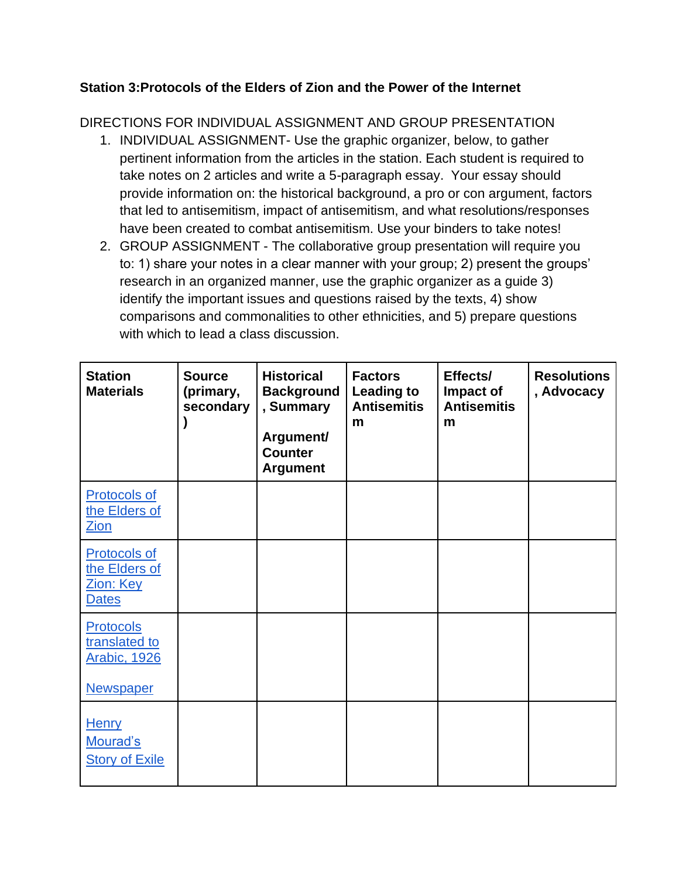## **Station 3:Protocols of the Elders of Zion and the Power of the Internet**

DIRECTIONS FOR INDIVIDUAL ASSIGNMENT AND GROUP PRESENTATION

- 1. INDIVIDUAL ASSIGNMENT- Use the graphic organizer, below, to gather pertinent information from the articles in the station. Each student is required to take notes on 2 articles and write a 5-paragraph essay. Your essay should provide information on: the historical background, a pro or con argument, factors that led to antisemitism, impact of antisemitism, and what resolutions/responses have been created to combat antisemitism. Use your binders to take notes!
- 2. GROUP ASSIGNMENT The collaborative group presentation will require you to: 1) share your notes in a clear manner with your group; 2) present the groups' research in an organized manner, use the graphic organizer as a guide 3) identify the important issues and questions raised by the texts, 4) show comparisons and commonalities to other ethnicities, and 5) prepare questions with which to lead a class discussion.

| <b>Station</b><br><b>Materials</b>                                    | <b>Source</b><br>(primary,<br>secondary | <b>Historical</b><br><b>Background</b><br>, Summary<br>Argument/<br><b>Counter</b><br><b>Argument</b> | <b>Factors</b><br><b>Leading to</b><br><b>Antisemitis</b><br>m | Effects/<br>Impact of<br><b>Antisemitis</b><br>m | <b>Resolutions</b><br>, Advocacy |
|-----------------------------------------------------------------------|-----------------------------------------|-------------------------------------------------------------------------------------------------------|----------------------------------------------------------------|--------------------------------------------------|----------------------------------|
| <b>Protocols of</b><br>the Elders of<br>Zion                          |                                         |                                                                                                       |                                                                |                                                  |                                  |
| <b>Protocols of</b><br>the Elders of<br>Zion: Key<br><b>Dates</b>     |                                         |                                                                                                       |                                                                |                                                  |                                  |
| Protocols<br>translated to<br><b>Arabic, 1926</b><br><b>Newspaper</b> |                                         |                                                                                                       |                                                                |                                                  |                                  |
| <b>Henry</b><br>Mourad's<br><b>Story of Exile</b>                     |                                         |                                                                                                       |                                                                |                                                  |                                  |